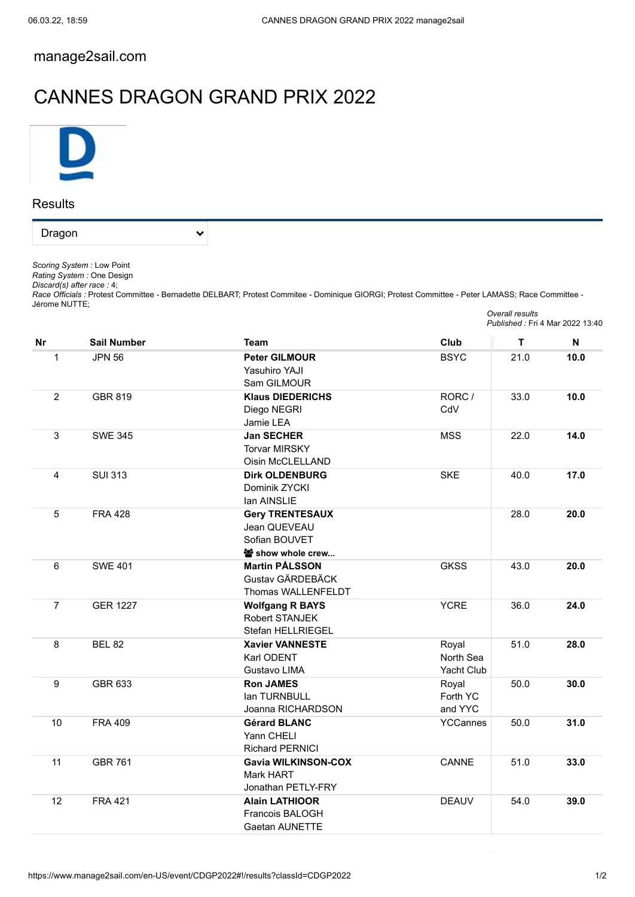## [manage2sail.com](https://www.manage2sail.com/en-US)

## CANNES DRAGON GRAND PRIX 2022

 $\checkmark$ 



**Results** 

Dragon

*Scoring System :* Low Point

*Rating System :* One Design

*Discard(s) after race :* 4;

*Race Officials :* Protest Committee - Bernadette DELBART; Protest Commitee - Dominique GIORGI; Protest Committee - Peter LAMASS; Race Committee - Jérome NUTTE; *Overall results*

|                |                    |                            | Published: Fri 4 Mar 2022 13:40 |      |      |
|----------------|--------------------|----------------------------|---------------------------------|------|------|
| <b>Nr</b>      | <b>Sail Number</b> | <b>Team</b>                | Club                            | T.   | N    |
| 1              | <b>JPN 56</b>      | <b>Peter GILMOUR</b>       | <b>BSYC</b>                     | 21.0 | 10.0 |
|                |                    | <b>Yasuhiro YAJI</b>       |                                 |      |      |
|                |                    | Sam GILMOUR                |                                 |      |      |
| $\overline{2}$ | <b>GBR 819</b>     | <b>Klaus DIEDERICHS</b>    | RORC /                          | 33.0 | 10.0 |
|                |                    | Diego NEGRI                | CdV                             |      |      |
|                |                    | Jamie LEA                  |                                 |      |      |
| 3              | <b>SWE 345</b>     | <b>Jan SECHER</b>          | <b>MSS</b>                      | 22.0 | 14.0 |
|                |                    | <b>Torvar MIRSKY</b>       |                                 |      |      |
|                |                    | Oisin McCLELLAND           |                                 |      |      |
| 4              | <b>SUI 313</b>     | <b>Dirk OLDENBURG</b>      | <b>SKE</b>                      | 40.0 | 17.0 |
|                |                    | Dominik ZYCKI              |                                 |      |      |
|                |                    | lan AINSLIE                |                                 |      |      |
| 5              | <b>FRA 428</b>     | <b>Gery TRENTESAUX</b>     |                                 | 28.0 | 20.0 |
|                |                    | Jean QUEVEAU               |                                 |      |      |
|                |                    | Sofian BOUVET              |                                 |      |      |
|                |                    | * show whole crew          |                                 |      |      |
| 6              | <b>SWE 401</b>     | <b>Martin PÅLSSON</b>      | <b>GKSS</b>                     | 43.0 | 20.0 |
|                |                    | Gustav GÄRDEBÄCK           |                                 |      |      |
|                |                    | Thomas WALLENFELDT         |                                 |      |      |
| $\overline{7}$ | <b>GER 1227</b>    | <b>Wolfgang R BAYS</b>     | <b>YCRE</b>                     | 36.0 | 24.0 |
|                |                    | Robert STANJEK             |                                 |      |      |
|                |                    | Stefan HELLRIEGEL          |                                 |      |      |
| 8              | <b>BEL 82</b>      | <b>Xavier VANNESTE</b>     | Royal                           | 51.0 | 28.0 |
|                |                    | Karl ODENT                 | North Sea                       |      |      |
|                |                    | Gustavo LIMA               | Yacht Club                      |      |      |
| 9              | GBR 633            | <b>Ron JAMES</b>           | Royal                           | 50.0 | 30.0 |
|                |                    | lan TURNBULL               | Forth YC                        |      |      |
|                |                    | Joanna RICHARDSON          | and YYC                         |      |      |
| 10             | <b>FRA 409</b>     | <b>Gérard BLANC</b>        | YCCannes                        | 50.0 | 31.0 |
|                |                    | Yann CHELI                 |                                 |      |      |
|                |                    | <b>Richard PERNICI</b>     |                                 |      |      |
| 11             | <b>GBR 761</b>     | <b>Gavia WILKINSON-COX</b> | CANNE                           | 51.0 | 33.0 |
|                |                    | Mark HART                  |                                 |      |      |
|                |                    | Jonathan PETLY-FRY         |                                 |      |      |
| 12             | <b>FRA 421</b>     | <b>Alain LATHIOOR</b>      | <b>DEAUV</b>                    | 54.0 | 39.0 |
|                |                    | Francois BALOGH            |                                 |      |      |
|                |                    | Gaetan AUNETTE             |                                 |      |      |